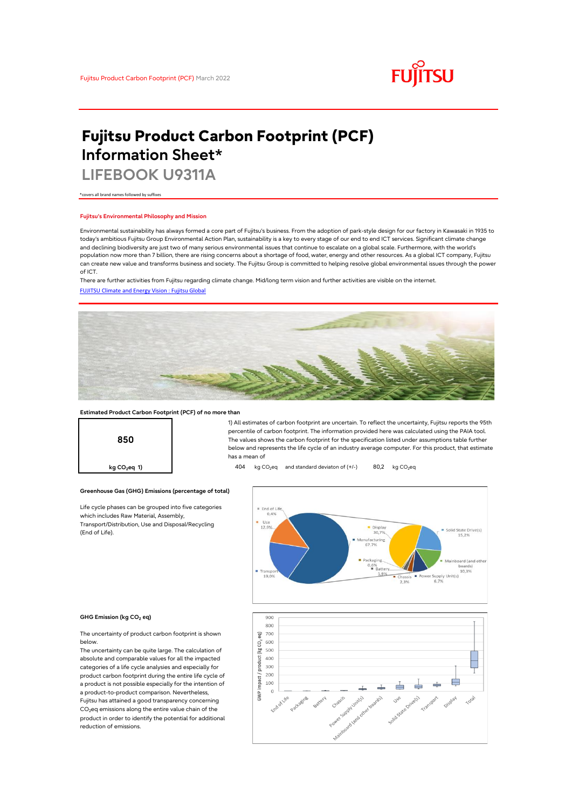

# **Fujitsu Product Carbon Footprint (PCF) Information Sheet\***

**LIFEBOOK U9311A**

\*covers all brand names followed by suffixes

### **Fujitsu's Environmental Philosophy and Mission**

Environmental sustainability has always formed a core part of Fujitsu's business. From the adoption of park-style design for our factory in Kawasaki in 1935 to today's ambitious Fujitsu Group Environmental Action Plan, sustainability is a key to every stage of our end to end ICT services. Significant climate change and declining biodiversity are just two of many serious environmental issues that continue to escalate on a global scale. Furthermore, with the world's population now more than 7 billion, there are rising concerns about a shortage of food, water, energy and other resources. As a global ICT company, Fujitsu can create new value and transforms business and society. The Fujitsu Group is committed to helping resolve global environmental issues through the power of ICT.

[FUJITSU Climate and Energy Vision : Fujitsu Global](https://www.fujitsu.com/global/about/environment/climate-energy-vision/) There are further activities from Fujitsu regarding climate change. Mid/long term vision and further activities are visible on the internet.



### **Estimated Product Carbon Footprint (PCF) of no more than**

**Greenhouse Gas (GHG) Emissions (percentage of total)**

Life cycle phases can be grouped into five categories

which includes Raw Material, Assembly, Transport/Distribution, Use and Disposal/Recycling



1) All estimates of carbon footprint are uncertain. To reflect the uncertainty, Fujitsu reports the 95th percentile of carbon footprint. The information provided here was calculated using the PAIA tool. The values shows the carbon footprint for the specification listed under assumptions table further below and represents the life cycle of an industry average computer. For this product, that estimate has a mean of

**kg CO<sub>2</sub>eq 1) 404** kg CO<sub>2</sub>eq and standard deviaton of (+/-) 80,2 kg CO<sub>2</sub>eq



#### **GHG Emission (kg CO2 eq)**

(End of Life).

The uncertainty of product carbon footprint is shown below.

The uncertainty can be quite large. The calculation of absolute and comparable values for all the impacted categories of a life cycle analysies and especially for product carbon footprint during the entire life cycle of a product is not possible especially for the intention of a product-to-product comparison. Nevertheless, Fujitsu has attained a good transparency concerning  $CO<sub>2</sub>$ eq emissions along the entire value chain of the product in order to identify the potential for additional reduction of emissions.